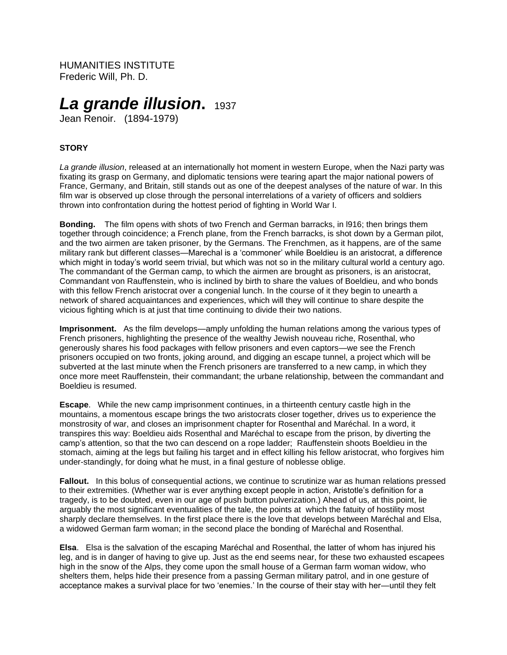HUMANITIES INSTITUTE Frederic Will, Ph. D.

# *La grande illusion***.**<sup>1937</sup>

Jean Renoir. (1894-1979)

# **STORY**

*La grande illusion*, released at an internationally hot moment in western Europe, when the Nazi party was fixating its grasp on Germany, and diplomatic tensions were tearing apart the major national powers of France, Germany, and Britain, still stands out as one of the deepest analyses of the nature of war. In this film war is observed up close through the personal interrelations of a variety of officers and soldiers thrown into confrontation during the hottest period of fighting in World War I.

**Bonding.** The film opens with shots of two French and German barracks, in l916; then brings them together through coincidence; a French plane, from the French barracks, is shot down by a German pilot, and the two airmen are taken prisoner, by the Germans. The Frenchmen, as it happens, are of the same military rank but different classes—Marechal is a 'commoner' while Boeldieu is an aristocrat, a difference which might in today's world seem trivial, but which was not so in the military cultural world a century ago. The commandant of the German camp, to which the airmen are brought as prisoners, is an aristocrat, Commandant von Rauffenstein, who is inclined by birth to share the values of Boeldieu, and who bonds with this fellow French aristocrat over a congenial lunch. In the course of it they begin to unearth a network of shared acquaintances and experiences, which will they will continue to share despite the vicious fighting which is at just that time continuing to divide their two nations.

**Imprisonment.** As the film develops—amply unfolding the human relations among the various types of French prisoners, highlighting the presence of the wealthy Jewish nouveau riche, Rosenthal, who generously shares his food packages with fellow prisoners and even captors—we see the French prisoners occupied on two fronts, joking around, and digging an escape tunnel, a project which will be subverted at the last minute when the French prisoners are transferred to a new camp, in which they once more meet Rauffenstein, their commandant; the urbane relationship, between the commandant and Boeldieu is resumed.

**Escape**. While the new camp imprisonment continues, in a thirteenth century castle high in the mountains, a momentous escape brings the two aristocrats closer together, drives us to experience the monstrosity of war, and closes an imprisonment chapter for Rosenthal and Maréchal. In a word, it transpires this way: Boeldieu aids Rosenthal and Maréchal to escape from the prison, by diverting the camp's attention, so that the two can descend on a rope ladder; Rauffenstein shoots Boeldieu in the stomach, aiming at the legs but failing his target and in effect killing his fellow aristocrat, who forgives him under-standingly, for doing what he must, in a final gesture of noblesse oblige.

**Fallout.** In this bolus of consequential actions, we continue to scrutinize war as human relations pressed to their extremities. (Whether war is ever anything except people in action, Aristotle's definition for a tragedy, is to be doubted, even in our age of push button pulverization.) Ahead of us, at this point, lie arguably the most significant eventualities of the tale, the points at which the fatuity of hostility most sharply declare themselves. In the first place there is the love that develops between Maréchal and Elsa, a widowed German farm woman; in the second place the bonding of Maréchal and Rosenthal.

**Elsa**. Elsa is the salvation of the escaping Maréchal and Rosenthal, the latter of whom has injured his leg, and is in danger of having to give up. Just as the end seems near, for these two exhausted escapees high in the snow of the Alps, they come upon the small house of a German farm woman widow, who shelters them, helps hide their presence from a passing German military patrol, and in one gesture of acceptance makes a survival place for two 'enemies.' In the course of their stay with her—until they felt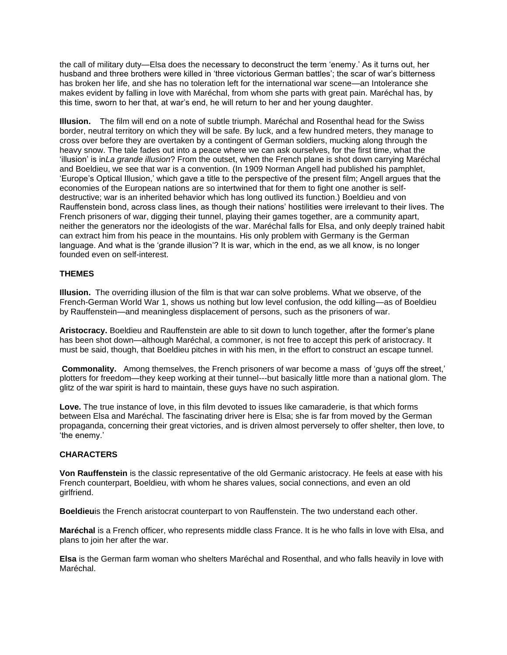the call of military duty—Elsa does the necessary to deconstruct the term 'enemy.' As it turns out, her husband and three brothers were killed in 'three victorious German battles'; the scar of war's bitterness has broken her life, and she has no toleration left for the international war scene—an Intolerance she makes evident by falling in love with Maréchal, from whom she parts with great pain. Maréchal has, by this time, sworn to her that, at war's end, he will return to her and her young daughter.

**Illusion.** The film will end on a note of subtle triumph. Maréchal and Rosenthal head for the Swiss border, neutral territory on which they will be safe. By luck, and a few hundred meters, they manage to cross over before they are overtaken by a contingent of German soldiers, mucking along through the heavy snow. The tale fades out into a peace where we can ask ourselves, for the first time, what the 'illusion' is in*La grande illusion*? From the outset, when the French plane is shot down carrying Maréchal and Boeldieu, we see that war is a convention. (In 1909 Norman Angell had published his pamphlet, 'Europe's Optical Illusion,' which gave a title to the perspective of the present film; Angell argues that the economies of the European nations are so intertwined that for them to fight one another is selfdestructive; war is an inherited behavior which has long outlived its function.) Boeldieu and von Rauffenstein bond, across class lines, as though their nations' hostilities were irrelevant to their lives. The French prisoners of war, digging their tunnel, playing their games together, are a community apart, neither the generators nor the ideologists of the war. Maréchal falls for Elsa, and only deeply trained habit can extract him from his peace in the mountains. His only problem with Germany is the German language. And what is the 'grande illusion'? It is war, which in the end, as we all know, is no longer founded even on self-interest.

## **THEMES**

**Illusion.** The overriding illusion of the film is that war can solve problems. What we observe, of the French-German World War 1, shows us nothing but low level confusion, the odd killing—as of Boeldieu by Rauffenstein—and meaningless displacement of persons, such as the prisoners of war.

**Aristocracy.** Boeldieu and Rauffenstein are able to sit down to lunch together, after the former's plane has been shot down—although Maréchal, a commoner, is not free to accept this perk of aristocracy. It must be said, though, that Boeldieu pitches in with his men, in the effort to construct an escape tunnel.

**Commonality.** Among themselves, the French prisoners of war become a mass of 'guys off the street,' plotters for freedom—they keep working at their tunnel---but basically little more than a national glom. The glitz of the war spirit is hard to maintain, these guys have no such aspiration.

**Love.** The true instance of love, in this film devoted to issues like camaraderie, is that which forms between Elsa and Maréchal. The fascinating driver here is Elsa; she is far from moved by the German propaganda, concerning their great victories, and is driven almost perversely to offer shelter, then love, to 'the enemy.'

#### **CHARACTERS**

**Von Rauffenstein** is the classic representative of the old Germanic aristocracy. He feels at ease with his French counterpart, Boeldieu, with whom he shares values, social connections, and even an old girlfriend.

**Boeldieu**is the French aristocrat counterpart to von Rauffenstein. The two understand each other.

**Maréchal** is a French officer, who represents middle class France. It is he who falls in love with Elsa, and plans to join her after the war.

**Elsa** is the German farm woman who shelters Maréchal and Rosenthal, and who falls heavily in love with Maréchal.